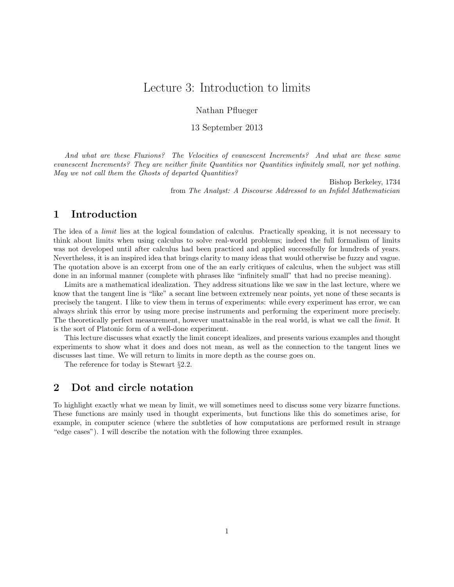# Lecture 3: Introduction to limits

Nathan Pflueger

13 September 2013

And what are these Fluxions? The Velocities of evanescent Increments? And what are these same evanescent Increments? They are neither finite Quantities nor Quantities infinitely small, nor yet nothing. May we not call them the Ghosts of departed Quantities?

> Bishop Berkeley, 1734 from The Analyst: A Discourse Addressed to an Infidel Mathematician

#### 1 Introduction

The idea of a *limit* lies at the logical foundation of calculus. Practically speaking, it is not necessary to think about limits when using calculus to solve real-world problems; indeed the full formalism of limits was not developed until after calculus had been practiced and applied successfully for hundreds of years. Nevertheless, it is an inspired idea that brings clarity to many ideas that would otherwise be fuzzy and vague. The quotation above is an excerpt from one of the an early critiques of calculus, when the subject was still done in an informal manner (complete with phrases like "infinitely small" that had no precise meaning).

Limits are a mathematical idealization. They address situations like we saw in the last lecture, where we know that the tangent line is "like" a secant line between extremely near points, yet none of these secants is precisely the tangent. I like to view them in terms of experiments: while every experiment has error, we can always shrink this error by using more precise instruments and performing the experiment more precisely. The theoretically perfect measurement, however unattainable in the real world, is what we call the limit. It is the sort of Platonic form of a well-done experiment.

This lecture discusses what exactly the limit concept idealizes, and presents various examples and thought experiments to show what it does and does not mean, as well as the connection to the tangent lines we discusses last time. We will return to limits in more depth as the course goes on.

The reference for today is Stewart §2.2.

#### 2 Dot and circle notation

To highlight exactly what we mean by limit, we will sometimes need to discuss some very bizarre functions. These functions are mainly used in thought experiments, but functions like this do sometimes arise, for example, in computer science (where the subtleties of how computations are performed result in strange "edge cases"). I will describe the notation with the following three examples.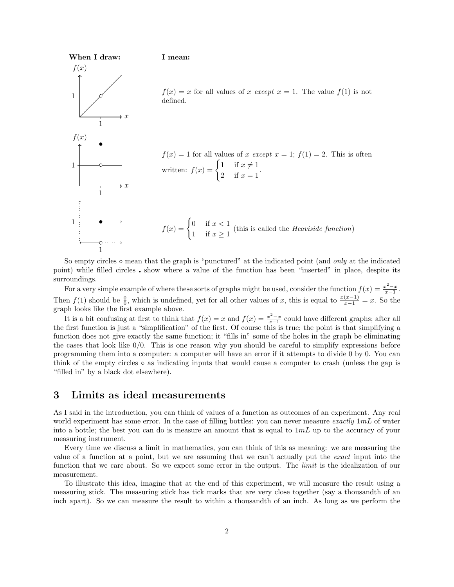

So empty circles  $\circ$  mean that the graph is "punctured" at the indicated point (and *only* at the indicated point) while filled circles • show where a value of the function has been "inserted" in place, despite its surroundings.

For a very simple example of where these sorts of graphs might be used, consider the function  $f(x) = \frac{x^2 - x}{x-1}$ . Then  $f(1)$  should be  $\frac{0}{0}$ , which is undefined, yet for all other values of x, this is equal to  $\frac{x(x-1)}{x-1} = x$ . So the graph looks like the first example above.

It is a bit confusing at first to think that  $f(x) = x$  and  $f(x) = \frac{x^2 - x}{x - 1}$  could have different graphs; after all the first function is just a "simplification" of the first. Of course this is true; the point is that simplifying a function does not give exactly the same function; it "fills in" some of the holes in the graph be eliminating the cases that look like 0/0. This is one reason why you should be careful to simplify expressions before programming them into a computer: a computer will have an error if it attempts to divide 0 by 0. You can think of the empty circles ◦ as indicating inputs that would cause a computer to crash (unless the gap is "filled in" by a black dot elsewhere).

### 3 Limits as ideal measurements

As I said in the introduction, you can think of values of a function as outcomes of an experiment. Any real world experiment has some error. In the case of filling bottles: you can never measure exactly  $1mL$  of water into a bottle; the best you can do is measure an amount that is equal to  $1mL$  up to the accuracy of your measuring instrument.

Every time we discuss a limit in mathematics, you can think of this as meaning: we are measuring the value of a function at a point, but we are assuming that we can't actually put the exact input into the function that we care about. So we expect some error in the output. The *limit* is the idealization of our measurement.

To illustrate this idea, imagine that at the end of this experiment, we will measure the result using a measuring stick. The measuring stick has tick marks that are very close together (say a thousandth of an inch apart). So we can measure the result to within a thousandth of an inch. As long as we perform the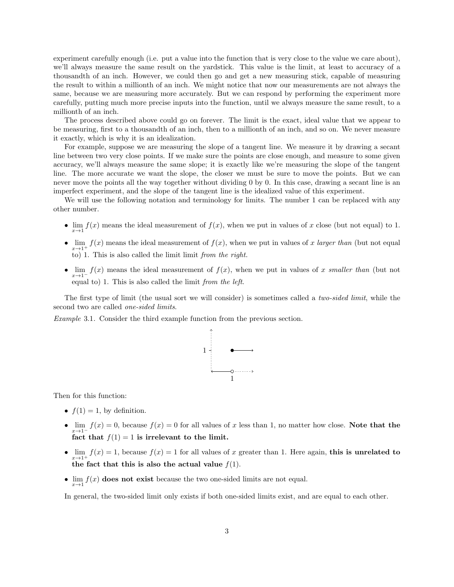experiment carefully enough (i.e. put a value into the function that is very close to the value we care about), we'll always measure the same result on the yardstick. This value is the limit, at least to accuracy of a thousandth of an inch. However, we could then go and get a new measuring stick, capable of measuring the result to within a millionth of an inch. We might notice that now our measurements are not always the same, because we are measuring more accurately. But we can respond by performing the experiment more carefully, putting much more precise inputs into the function, until we always measure the same result, to a millionth of an inch.

The process described above could go on forever. The limit is the exact, ideal value that we appear to be measuring, first to a thousandth of an inch, then to a millionth of an inch, and so on. We never measure it exactly, which is why it is an idealization.

For example, suppose we are measuring the slope of a tangent line. We measure it by drawing a secant line between two very close points. If we make sure the points are close enough, and measure to some given accuracy, we'll always measure the same slope; it is exactly like we're measuring the slope of the tangent line. The more accurate we want the slope, the closer we must be sure to move the points. But we can never move the points all the way together without dividing 0 by 0. In this case, drawing a secant line is an imperfect experiment, and the slope of the tangent line is the idealized value of this experiment.

We will use the following notation and terminology for limits. The number 1 can be replaced with any other number.

- $\lim_{x\to 1} f(x)$  means the ideal measurement of  $f(x)$ , when we put in values of x close (but not equal) to 1.
- $\lim_{x\to 1^+} f(x)$  means the ideal measurement of  $f(x)$ , when we put in values of x larger than (but not equal to) 1. This is also called the limit limit from the right.
- $\lim_{x\to 1^-} f(x)$  means the ideal measurement of  $f(x)$ , when we put in values of x smaller than (but not equal to) 1. This is also called the limit from the left.

The first type of limit (the usual sort we will consider) is sometimes called a *two-sided limit*, while the second two are called *one-sided limits*.

Example 3.1. Consider the third example function from the previous section.



Then for this function:

- $f(1) = 1$ , by definition.
- $\lim_{x\to 1^-} f(x) = 0$ , because  $f(x) = 0$  for all values of x less than 1, no matter how close. Note that the fact that  $f(1) = 1$  is irrelevant to the limit.
- $\lim_{x\to 1^+} f(x) = 1$ , because  $f(x) = 1$  for all values of x greater than 1. Here again, this is unrelated to the fact that this is also the actual value  $f(1)$ .
- $\lim_{x\to 1} f(x)$  does not exist because the two one-sided limits are not equal.

In general, the two-sided limit only exists if both one-sided limits exist, and are equal to each other.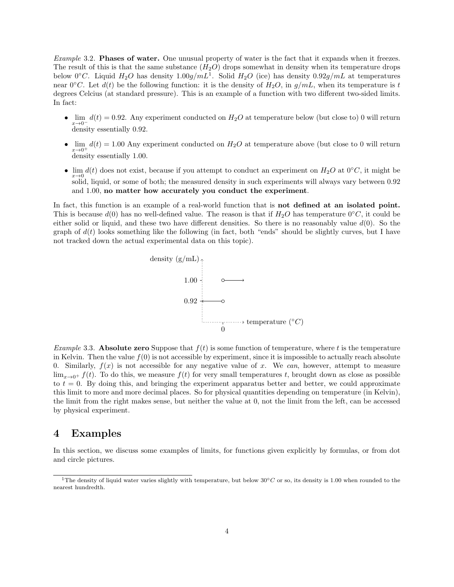Example 3.2. Phases of water. One unusual property of water is the fact that it expands when it freezes. The result of this is that the same substance  $(H_2O)$  drops somewhat in density when its temperature drops below 0°C. Liquid  $H_2O$  has density  $1.00g/mL^1$ . Solid  $H_2O$  (ice) has density  $0.92g/mL$  at temperatures near  $0°C$ . Let  $d(t)$  be the following function: it is the density of  $H_2O$ , in  $g/mL$ , when its temperature is t degrees Celcius (at standard pressure). This is an example of a function with two different two-sided limits. In fact:

- $\lim_{x\to 0^-} d(t) = 0.92$ . Any experiment conducted on  $H_2O$  at temperature below (but close to) 0 will return density essentially 0.92.
- $\lim_{\varepsilon \to 0} d(t) = 1.00$  Any experiment conducted on  $H_2O$  at temperature above (but close to 0 will return  $x\rightarrow 0^+$   $\longrightarrow$  density essentially 1.00.
- $\lim_{x\to 0} d(t)$  does not exist, because if you attempt to conduct an experiment on  $H_2O$  at 0°C, it might be solid, liquid, or some of both; the measured density in such experiments will always vary between 0.92 and 1.00, no matter how accurately you conduct the experiment.

In fact, this function is an example of a real-world function that is **not defined at an isolated point.** This is because  $d(0)$  has no well-defined value. The reason is that if  $H_2O$  has temperature  $0°C$ , it could be either solid or liquid, and these two have different densities. So there is no reasonably value  $d(0)$ . So the graph of  $d(t)$  looks something like the following (in fact, both "ends" should be slightly curves, but I have not tracked down the actual experimental data on this topic).



*Example* 3.3. **Absolute zero** Suppose that  $f(t)$  is some function of temperature, where t is the temperature in Kelvin. Then the value  $f(0)$  is not accessible by experiment, since it is impossible to actually reach absolute 0. Similarly,  $f(x)$  is not accessible for any negative value of x. We can, however, attempt to measure  $\lim_{x\to 0^+} f(t)$ . To do this, we measure  $f(t)$  for very small temperatures t, brought down as close as possible to  $t = 0$ . By doing this, and bringing the experiment apparatus better and better, we could approximate this limit to more and more decimal places. So for physical quantities depending on temperature (in Kelvin), the limit from the right makes sense, but neither the value at 0, not the limit from the left, can be accessed by physical experiment.

## 4 Examples

In this section, we discuss some examples of limits, for functions given explicitly by formulas, or from dot and circle pictures.

<sup>&</sup>lt;sup>1</sup>The density of liquid water varies slightly with temperature, but below  $30°C$  or so, its density is 1.00 when rounded to the nearest hundredth.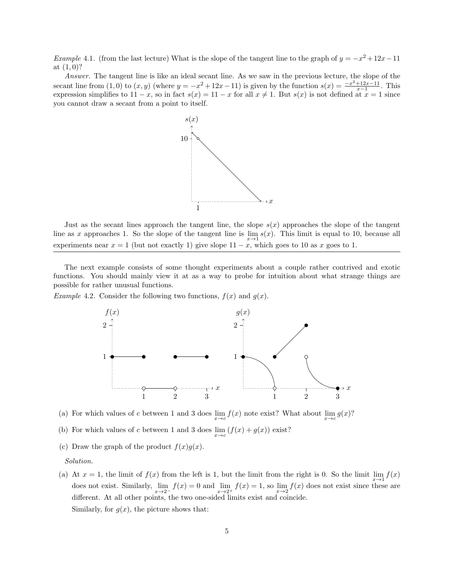Example 4.1. (from the last lecture) What is the slope of the tangent line to the graph of  $y = -x^2 + 12x - 11$ at  $(1, 0)$ ?

Answer. The tangent line is like an ideal secant line. As we saw in the previous lecture, the slope of the secant line from  $(1,0)$  to  $(x,y)$  (where  $y = -x^2 + 12x - 11$ ) is given by the function  $s(x) = \frac{-x^2 + 12x - 11}{x-1}$ . This expression simplifies to  $11 - x$ , so in fact  $s(x) = 11 - x$  for all  $x \neq 1$ . But  $s(x)$  is not defined at  $x = 1$  since you cannot draw a secant from a point to itself.



Just as the secant lines approach the tangent line, the slope  $s(x)$  approaches the slope of the tangent line as x approaches 1. So the slope of the tangent line is  $\lim_{x\to 1} s(x)$ . This limit is equal to 10, because all experiments near  $x = 1$  (but not exactly 1) give slope  $11 - x$ , which goes to 10 as x goes to 1.

The next example consists of some thought experiments about a couple rather contrived and exotic functions. You should mainly view it at as a way to probe for intuition about what strange things are possible for rather unusual functions.

*Example* 4.2. Consider the following two functions,  $f(x)$  and  $g(x)$ .



(a) For which values of c between 1 and 3 does  $\lim_{x\to c} f(x)$  note exist? What about  $\lim_{x\to c} g(x)$ ?

- (b) For which values of c between 1 and 3 does  $\lim_{x \to c} (f(x) + g(x))$  exist?
- (c) Draw the graph of the product  $f(x)g(x)$ .

Solution.

(a) At  $x = 1$ , the limit of  $f(x)$  from the left is 1, but the limit from the right is 0. So the limit  $\lim_{x\to 1} f(x)$ does not exist. Similarly,  $\lim_{x\to 2^-} f(x) = 0$  and  $\lim_{x\to 2^+} f(x) = 1$ , so  $\lim_{x\to 2} f(x)$  does not exist since these are different. At all other points, the two one-sided limits exist and coincide. Similarly, for  $g(x)$ , the picture shows that: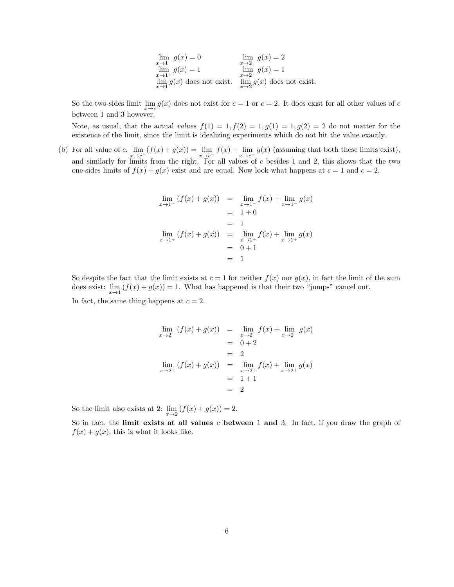| $\lim_{x\to 1^-} g(x) = 0$           | $\lim g(x) = 2$                      |
|--------------------------------------|--------------------------------------|
|                                      | $x \rightarrow 2^-$                  |
| $\lim_{x\to 1^+} g(x) = 1$           | $\lim_{x\to 2^-} g(x) = 1$           |
|                                      |                                      |
| $\lim_{x\to 1} g(x)$ does not exist. | $\lim_{x\to 2} g(x)$ does not exist. |
|                                      |                                      |

So the two-sides limit  $\lim_{x\to c} g(x)$  does not exist for  $c = 1$  or  $c = 2$ . It does exist for all other values of c between 1 and 3 however.

Note, as usual, that the actual values  $f(1) = 1, f(2) = 1, g(1) = 1, g(2) = 2$  do not matter for the existence of the limit, since the limit is idealizing experiments which do not hit the value exactly.

(b) For all value of c,  $\lim_{x\to c^-} (f(x) + g(x)) = \lim_{x\to c^-} f(x) + \lim_{x\to c^-} g(x)$  (assuming that both these limits exist), and similarly for limits from the right. For all values of c besides 1 and 2, this shows that the two one-sides limits of  $f(x) + g(x)$  exist and are equal. Now look what happens at  $c = 1$  and  $c = 2$ .

$$
\lim_{x \to 1^{-}} (f(x) + g(x)) = \lim_{x \to 1^{-}} f(x) + \lim_{x \to 1^{-}} g(x)
$$
  
= 1 + 0  
= 1  

$$
\lim_{x \to 1^{+}} (f(x) + g(x)) = \lim_{x \to 1^{+}} f(x) + \lim_{x \to 1^{+}} g(x)
$$
  
= 0 + 1  
= 1

So despite the fact that the limit exists at  $c = 1$  for neither  $f(x)$  nor  $g(x)$ , in fact the limit of the sum does exist:  $\lim_{x\to 1} (f(x) + g(x)) = 1$ . What has happened is that their two "jumps" cancel out.

In fact, the same thing happens at  $c = 2$ .

$$
\lim_{x \to 2^{-}} (f(x) + g(x)) = \lim_{x \to 2^{-}} f(x) + \lim_{x \to 2^{-}} g(x)
$$
  
= 0 + 2  
= 2  

$$
\lim_{x \to 2^{+}} (f(x) + g(x)) = \lim_{x \to 2^{+}} f(x) + \lim_{x \to 2^{+}} g(x)
$$
  
= 1 + 1  
= 2

So the limit also exists at 2:  $\lim_{x\to 2} (f(x) + g(x)) = 2$ .

So in fact, the limit exists at all values c between 1 and 3. In fact, if you draw the graph of  $f(x) + g(x)$ , this is what it looks like.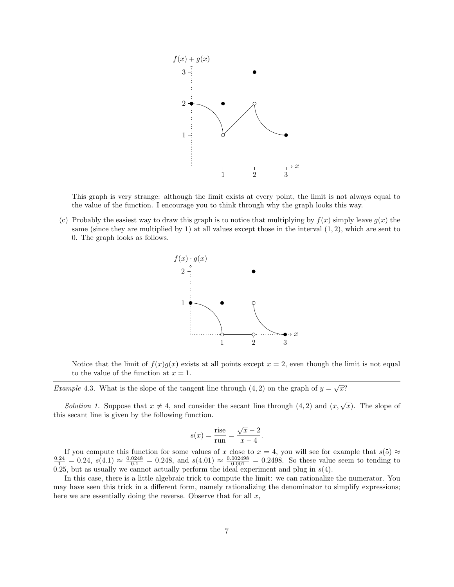

This graph is very strange: although the limit exists at every point, the limit is not always equal to the value of the function. I encourage you to think through why the graph looks this way.

(c) Probably the easiest way to draw this graph is to notice that multiplying by  $f(x)$  simply leave  $g(x)$  the same (since they are multiplied by 1) at all values except those in the interval  $(1, 2)$ , which are sent to 0. The graph looks as follows.



Notice that the limit of  $f(x)g(x)$  exists at all points except  $x = 2$ , even though the limit is not equal to the value of the function at  $x = 1$ .

*Example* 4.3. What is the slope of the tangent line through  $(4, 2)$  on the graph of  $y = \sqrt{x}$ ?

Solution 1. Suppose that  $x \neq 4$ , and consider the secant line through  $(4, 2)$  and  $(x, \sqrt{x})$ . The slope of this secant line is given by the following function.

$$
s(x) = \frac{\text{rise}}{\text{run}} = \frac{\sqrt{x} - 2}{x - 4}.
$$

If you compute this function for some values of x close to  $x = 4$ , you will see for example that  $s(5) \approx \frac{0.24}{1} = 0.24$ ,  $s(4.1) \approx \frac{0.0248}{0.1} = 0.248$ , and  $s(4.01) \approx \frac{0.002498}{0.001} = 0.2498$ . So these value seem to 0.25, but as usually we cannot actually perform the ideal experiment and plug in  $s(4)$ .

In this case, there is a little algebraic trick to compute the limit: we can rationalize the numerator. You may have seen this trick in a different form, namely rationalizing the denominator to simplify expressions; here we are essentially doing the reverse. Observe that for all  $x$ ,